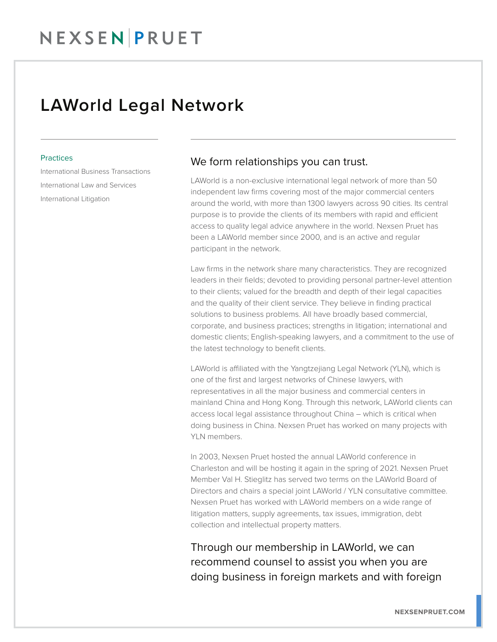## NEXSENPRUET

### LAWorld Legal Network

#### **Practices**

International Business Transactions International Law and Services International Litigation

### We form relationships you can trust.

LAWorld is a non-exclusive international legal network of more than 50 independent law firms covering most of the major commercial centers around the world, with more than 1300 lawyers across 90 cities. Its central purpose is to provide the clients of its members with rapid and efficient access to quality legal advice anywhere in the world. Nexsen Pruet has been a LAWorld member since 2000, and is an active and regular participant in the network.

Law firms in the network share many characteristics. They are recognized leaders in their fields; devoted to providing personal partner-level attention to their clients; valued for the breadth and depth of their legal capacities and the quality of their client service. They believe in finding practical solutions to business problems. All have broadly based commercial, corporate, and business practices; strengths in litigation; international and domestic clients; English-speaking lawyers, and a commitment to the use of the latest technology to benefit clients.

LAWorld is affiliated with the Yangtzejiang Legal Network (YLN), which is one of the first and largest networks of Chinese lawyers, with representatives in all the major business and commercial centers in mainland China and Hong Kong. Through this network, LAWorld clients can access local legal assistance throughout China – which is critical when doing business in China. Nexsen Pruet has worked on many projects with YLN members.

In 2003, Nexsen Pruet hosted the annual LAWorld conference in Charleston and will be hosting it again in the spring of 2021. Nexsen Pruet Member Val H. Stieglitz has served two terms on the LAWorld Board of Directors and chairs a special joint LAWorld / YLN consultative committee. Nexsen Pruet has worked with LAWorld members on a wide range of litigation matters, supply agreements, tax issues, immigration, debt collection and intellectual property matters.

Through our membership in LAWorld, we can recommend counsel to assist you when you are doing business in foreign markets and with foreign